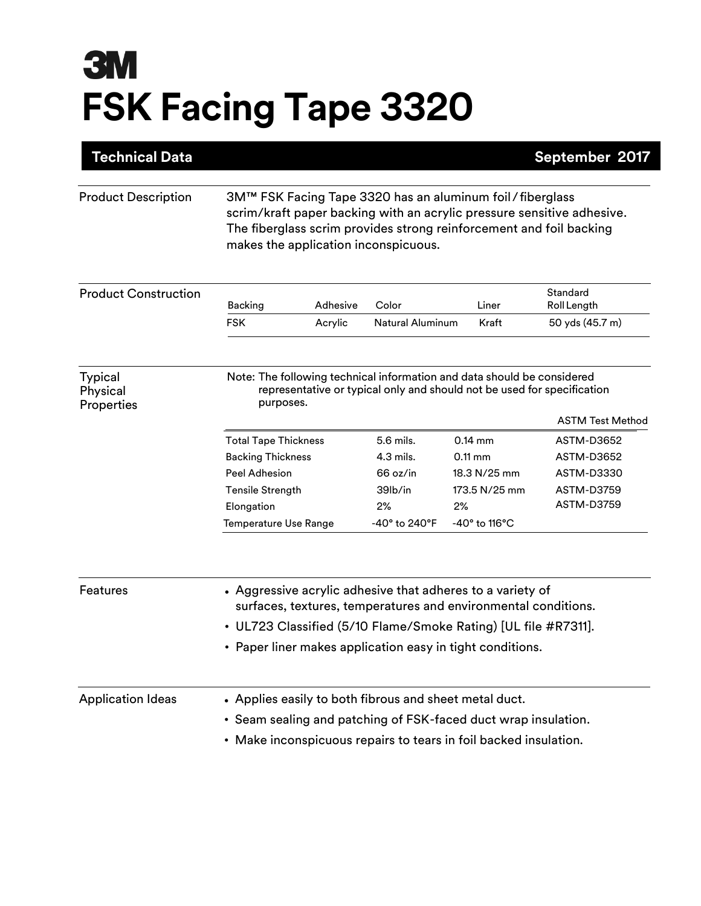## **3M FSK Facing Tape 3320**

| <b>Technical Data</b>                    |                                                                                                                                                                                                                                                     |          |                          |                                                            | September 2017                  |  |
|------------------------------------------|-----------------------------------------------------------------------------------------------------------------------------------------------------------------------------------------------------------------------------------------------------|----------|--------------------------|------------------------------------------------------------|---------------------------------|--|
| <b>Product Description</b>               | 3M™ FSK Facing Tape 3320 has an aluminum foil / fiberglass<br>scrim/kraft paper backing with an acrylic pressure sensitive adhesive.<br>The fiberglass scrim provides strong reinforcement and foil backing<br>makes the application inconspicuous. |          |                          |                                                            |                                 |  |
| <b>Product Construction</b>              |                                                                                                                                                                                                                                                     | Adhesive | Color                    | Liner                                                      | Standard<br>Roll Length         |  |
|                                          | Backing<br><b>FSK</b>                                                                                                                                                                                                                               | Acrylic  | <b>Natural Aluminum</b>  | Kraft                                                      | 50 yds (45.7 m)                 |  |
| <b>Typical</b><br>Physical<br>Properties | Note: The following technical information and data should be considered<br>representative or typical only and should not be used for specification<br>purposes.<br><b>ASTM Test Method</b>                                                          |          |                          |                                                            |                                 |  |
|                                          |                                                                                                                                                                                                                                                     |          |                          |                                                            |                                 |  |
|                                          | <b>Total Tape Thickness</b>                                                                                                                                                                                                                         |          | 5.6 mils.<br>$4.3$ mils. | $0.14$ mm<br>$0.11 \text{ mm}$                             | <b>ASTM-D3652</b><br>ASTM-D3652 |  |
|                                          | <b>Backing Thickness</b><br><b>Peel Adhesion</b>                                                                                                                                                                                                    |          | 66 oz/in                 | 18.3 N/25 mm                                               |                                 |  |
|                                          |                                                                                                                                                                                                                                                     |          | 39lb/in                  |                                                            | ASTM-D3330                      |  |
|                                          | <b>Tensile Strength</b>                                                                                                                                                                                                                             |          | 2%                       | 173.5 N/25 mm<br>2%                                        | ASTM-D3759<br>ASTM-D3759        |  |
|                                          | Elongation<br>Temperature Use Range                                                                                                                                                                                                                 |          | $-40^\circ$ to 240°F     | -40° to 116°C                                              |                                 |  |
| Features                                 |                                                                                                                                                                                                                                                     |          |                          | • Aggressive acrylic adhesive that adheres to a variety of |                                 |  |
|                                          | surfaces, textures, temperatures and environmental conditions.                                                                                                                                                                                      |          |                          |                                                            |                                 |  |
|                                          | • UL723 Classified (5/10 Flame/Smoke Rating) [UL file #R7311].                                                                                                                                                                                      |          |                          |                                                            |                                 |  |
|                                          | • Paper liner makes application easy in tight conditions.                                                                                                                                                                                           |          |                          |                                                            |                                 |  |
| <b>Application Ideas</b>                 | • Applies easily to both fibrous and sheet metal duct.                                                                                                                                                                                              |          |                          |                                                            |                                 |  |
|                                          | • Seam sealing and patching of FSK-faced duct wrap insulation.                                                                                                                                                                                      |          |                          |                                                            |                                 |  |
|                                          | • Make inconspicuous repairs to tears in foil backed insulation.                                                                                                                                                                                    |          |                          |                                                            |                                 |  |
|                                          |                                                                                                                                                                                                                                                     |          |                          |                                                            |                                 |  |